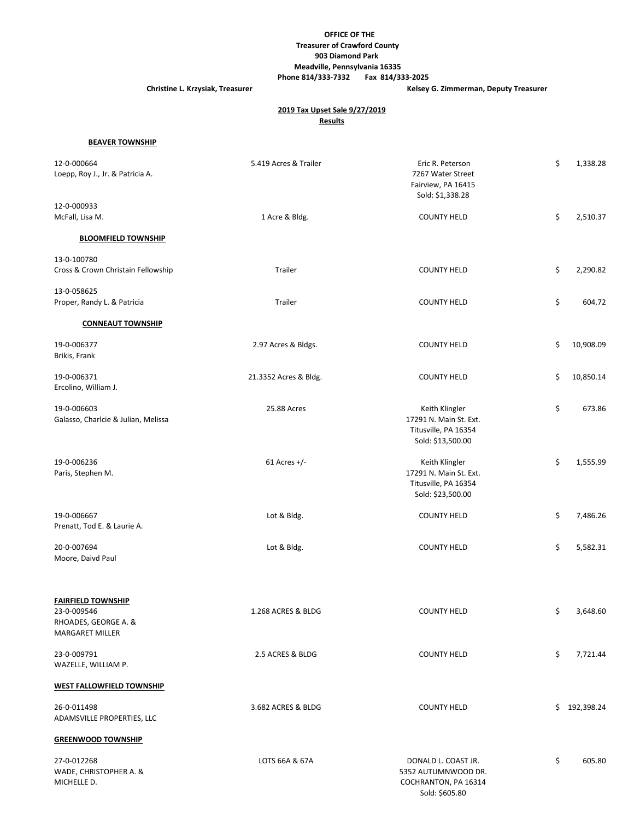## **OFFICE OF THE Treasurer of Crawford County 903 Diamond Park Meadville, Pennsylvania 16335**

 **Phone 814/333-7332 Fax 814/333-2025**

**Christine L. Krzysiak, Treasurer Christine L. Krzysiak, Treasurer Christine L. Krzysiak, Treasurer** 

## **2019 Tax Upset Sale 9/27/2019 Results**

### **BEAVER TOWNSHIP**

| 12-0-000664<br>Loepp, Roy J., Jr. & Patricia A.                                            | 5.419 Acres & Trailer | Eric R. Peterson<br>7267 Water Street<br>Fairview, PA 16415<br>Sold: \$1,338.28       | \$<br>1,338.28  |
|--------------------------------------------------------------------------------------------|-----------------------|---------------------------------------------------------------------------------------|-----------------|
| 12-0-000933<br>McFall, Lisa M.                                                             | 1 Acre & Bldg.        | <b>COUNTY HELD</b>                                                                    | \$<br>2,510.37  |
| <b>BLOOMFIELD TOWNSHIP</b>                                                                 |                       |                                                                                       |                 |
| 13-0-100780                                                                                |                       |                                                                                       |                 |
| Cross & Crown Christain Fellowship                                                         | Trailer               | <b>COUNTY HELD</b>                                                                    | \$<br>2,290.82  |
| 13-0-058625<br>Proper, Randy L. & Patricia                                                 | Trailer               | <b>COUNTY HELD</b>                                                                    | \$<br>604.72    |
| <b>CONNEAUT TOWNSHIP</b>                                                                   |                       |                                                                                       |                 |
|                                                                                            |                       |                                                                                       |                 |
| 19-0-006377<br>Brikis, Frank                                                               | 2.97 Acres & Bldgs.   | <b>COUNTY HELD</b>                                                                    | \$<br>10,908.09 |
| 19-0-006371                                                                                | 21.3352 Acres & Bldg. | <b>COUNTY HELD</b>                                                                    | \$<br>10,850.14 |
| Ercolino, William J.                                                                       |                       |                                                                                       |                 |
| 19-0-006603<br>Galasso, Charlcie & Julian, Melissa                                         | 25.88 Acres           | Keith Klingler<br>17291 N. Main St. Ext.<br>Titusville, PA 16354<br>Sold: \$13,500.00 | \$<br>673.86    |
| 19-0-006236<br>Paris, Stephen M.                                                           | $61$ Acres +/-        | Keith Klingler<br>17291 N. Main St. Ext.<br>Titusville, PA 16354                      | \$<br>1,555.99  |
|                                                                                            |                       | Sold: \$23,500.00                                                                     |                 |
| 19-0-006667<br>Prenatt, Tod E. & Laurie A.                                                 | Lot & Bldg.           | <b>COUNTY HELD</b>                                                                    | \$<br>7,486.26  |
| 20-0-007694<br>Moore, Daivd Paul                                                           | Lot & Bldg.           | <b>COUNTY HELD</b>                                                                    | \$<br>5,582.31  |
|                                                                                            |                       |                                                                                       |                 |
| <b>FAIRFIELD TOWNSHIP</b><br>23-0-009546<br>RHOADES, GEORGE A. &<br><b>MARGARET MILLER</b> | 1.268 ACRES & BLDG    | <b>COUNTY HELD</b>                                                                    | \$<br>3,648.60  |
| 23-0-009791<br>WAZELLE, WILLIAM P.                                                         | 2.5 ACRES & BLDG      | <b>COUNTY HELD</b>                                                                    | \$<br>7,721.44  |
| <b>WEST FALLOWFIELD TOWNSHIP</b>                                                           |                       |                                                                                       |                 |
| 26-0-011498<br>ADAMSVILLE PROPERTIES, LLC                                                  | 3.682 ACRES & BLDG    | <b>COUNTY HELD</b>                                                                    | \$192,398.24    |
| <b>GREENWOOD TOWNSHIP</b>                                                                  |                       |                                                                                       |                 |
| 27-0-012268<br>WADE, CHRISTOPHER A. &<br>MICHELLE D.                                       | LOTS 66A & 67A        | DONALD L. COAST JR.<br>5352 AUTUMNWOOD DR.<br>COCHRANTON, PA 16314<br>Sold: \$605.80  | \$<br>605.80    |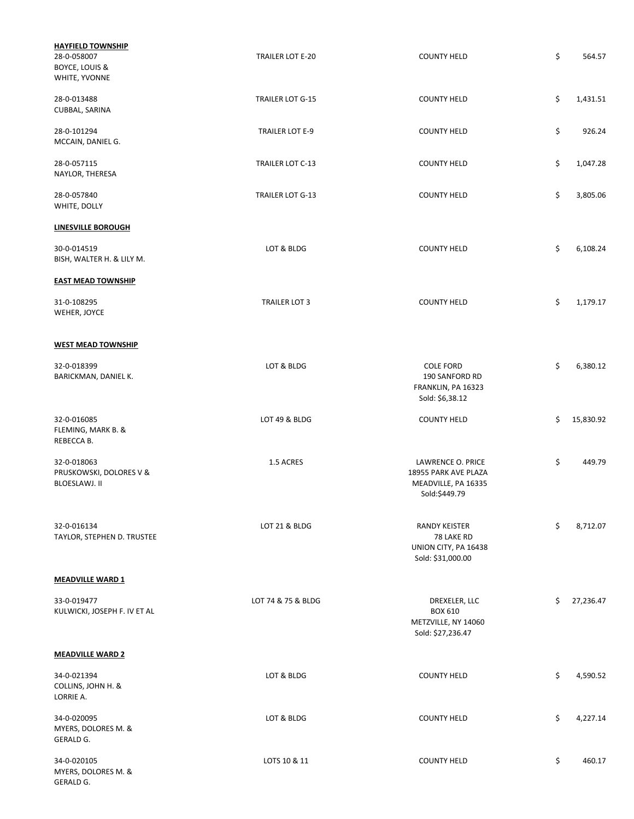| <b>HAYFIELD TOWNSHIP</b><br>28-0-058007<br><b>BOYCE, LOUIS &amp;</b><br>WHITE, YVONNE | <b>TRAILER LOT E-20</b> | <b>COUNTY HELD</b>                                                                | \$<br>564.57    |
|---------------------------------------------------------------------------------------|-------------------------|-----------------------------------------------------------------------------------|-----------------|
| 28-0-013488<br>CUBBAL, SARINA                                                         | TRAILER LOT G-15        | <b>COUNTY HELD</b>                                                                | \$<br>1,431.51  |
| 28-0-101294<br>MCCAIN, DANIEL G.                                                      | TRAILER LOT E-9         | <b>COUNTY HELD</b>                                                                | \$<br>926.24    |
| 28-0-057115<br>NAYLOR, THERESA                                                        | TRAILER LOT C-13        | <b>COUNTY HELD</b>                                                                | \$<br>1,047.28  |
| 28-0-057840<br>WHITE, DOLLY                                                           | TRAILER LOT G-13        | <b>COUNTY HELD</b>                                                                | \$<br>3,805.06  |
| <b>LINESVILLE BOROUGH</b>                                                             |                         |                                                                                   |                 |
| 30-0-014519<br>BISH, WALTER H. & LILY M.                                              | LOT & BLDG              | <b>COUNTY HELD</b>                                                                | \$<br>6,108.24  |
| <b>EAST MEAD TOWNSHIP</b>                                                             |                         |                                                                                   |                 |
| 31-0-108295<br>WEHER, JOYCE                                                           | <b>TRAILER LOT 3</b>    | <b>COUNTY HELD</b>                                                                | \$<br>1,179.17  |
| <b>WEST MEAD TOWNSHIP</b>                                                             |                         |                                                                                   |                 |
| 32-0-018399<br>BARICKMAN, DANIEL K.                                                   | LOT & BLDG              | <b>COLE FORD</b><br>190 SANFORD RD<br>FRANKLIN, PA 16323<br>Sold: \$6,38.12       | \$<br>6,380.12  |
| 32-0-016085<br>FLEMING, MARK B. &<br>REBECCA B.                                       | LOT 49 & BLDG           | <b>COUNTY HELD</b>                                                                | \$<br>15,830.92 |
| 32-0-018063<br>PRUSKOWSKI, DOLORES V &<br>BLOESLAWJ. II                               | 1.5 ACRES               | LAWRENCE O. PRICE<br>18955 PARK AVE PLAZA<br>MEADVILLE, PA 16335<br>Sold:\$449.79 | \$<br>449.79    |
| 32-0-016134<br>TAYLOR, STEPHEN D. TRUSTEE                                             | LOT 21 & BLDG           | <b>RANDY KEISTER</b><br>78 LAKE RD<br>UNION CITY, PA 16438<br>Sold: \$31,000.00   | \$<br>8,712.07  |
| <b>MEADVILLE WARD 1</b>                                                               |                         |                                                                                   |                 |
| 33-0-019477<br>KULWICKI, JOSEPH F. IV ET AL                                           | LOT 74 & 75 & BLDG      | DREXELER, LLC<br><b>BOX 610</b><br>METZVILLE, NY 14060<br>Sold: \$27,236.47       | \$<br>27,236.47 |
| <b>MEADVILLE WARD 2</b>                                                               |                         |                                                                                   |                 |
| 34-0-021394<br>COLLINS, JOHN H. &<br>LORRIE A.                                        | LOT & BLDG              | <b>COUNTY HELD</b>                                                                | \$<br>4,590.52  |
| 34-0-020095<br>MYERS, DOLORES M. &<br>GERALD G.                                       | LOT & BLDG              | <b>COUNTY HELD</b>                                                                | \$<br>4,227.14  |
| 34-0-020105<br>MYERS, DOLORES M. &<br>GERALD G.                                       | LOTS 10 & 11            | <b>COUNTY HELD</b>                                                                | \$<br>460.17    |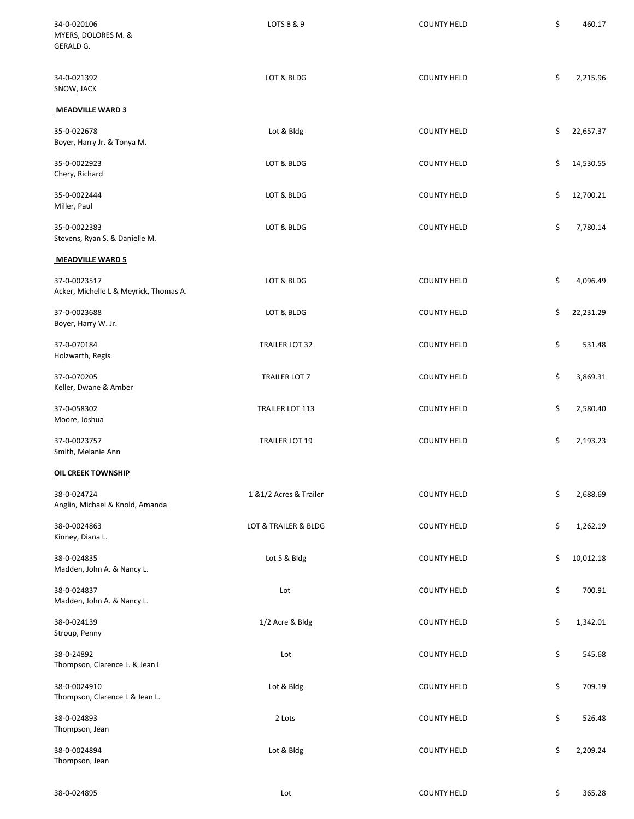| 34-0-020106<br>MYERS, DOLORES M. &<br>GERALD G.        | LOTS 8 & 9              | <b>COUNTY HELD</b> | \$<br>460.17    |
|--------------------------------------------------------|-------------------------|--------------------|-----------------|
| 34-0-021392<br>SNOW, JACK                              | LOT & BLDG              | <b>COUNTY HELD</b> | \$<br>2,215.96  |
| <b>MEADVILLE WARD 3</b>                                |                         |                    |                 |
| 35-0-022678<br>Boyer, Harry Jr. & Tonya M.             | Lot & Bldg              | <b>COUNTY HELD</b> | \$<br>22,657.37 |
| 35-0-0022923<br>Chery, Richard                         | LOT & BLDG              | <b>COUNTY HELD</b> | \$<br>14,530.55 |
| 35-0-0022444<br>Miller, Paul                           | LOT & BLDG              | <b>COUNTY HELD</b> | \$<br>12,700.21 |
| 35-0-0022383<br>Stevens, Ryan S. & Danielle M.         | LOT & BLDG              | <b>COUNTY HELD</b> | \$<br>7,780.14  |
| <b>MEADVILLE WARD 5</b>                                |                         |                    |                 |
| 37-0-0023517<br>Acker, Michelle L & Meyrick, Thomas A. | LOT & BLDG              | <b>COUNTY HELD</b> | \$<br>4,096.49  |
| 37-0-0023688<br>Boyer, Harry W. Jr.                    | LOT & BLDG              | <b>COUNTY HELD</b> | \$<br>22,231.29 |
| 37-0-070184<br>Holzwarth, Regis                        | TRAILER LOT 32          | <b>COUNTY HELD</b> | \$<br>531.48    |
| 37-0-070205<br>Keller, Dwane & Amber                   | TRAILER LOT 7           | <b>COUNTY HELD</b> | \$<br>3,869.31  |
| 37-0-058302<br>Moore, Joshua                           | TRAILER LOT 113         | <b>COUNTY HELD</b> | \$<br>2,580.40  |
| 37-0-0023757<br>Smith, Melanie Ann                     | <b>TRAILER LOT 19</b>   | <b>COUNTY HELD</b> | \$<br>2,193.23  |
| <b>OIL CREEK TOWNSHIP</b>                              |                         |                    |                 |
| 38-0-024724<br>Anglin, Michael & Knold, Amanda         | 1 & 1/2 Acres & Trailer | <b>COUNTY HELD</b> | \$<br>2,688.69  |
| 38-0-0024863<br>Kinney, Diana L.                       | LOT & TRAILER & BLDG    | <b>COUNTY HELD</b> | \$<br>1,262.19  |
| 38-0-024835<br>Madden, John A. & Nancy L.              | Lot 5 & Bldg            | <b>COUNTY HELD</b> | \$<br>10,012.18 |
| 38-0-024837<br>Madden, John A. & Nancy L.              | Lot                     | <b>COUNTY HELD</b> | \$<br>700.91    |
| 38-0-024139<br>Stroup, Penny                           | 1/2 Acre & Bldg         | <b>COUNTY HELD</b> | \$<br>1,342.01  |
| 38-0-24892<br>Thompson, Clarence L. & Jean L           | Lot                     | <b>COUNTY HELD</b> | \$<br>545.68    |
| 38-0-0024910<br>Thompson, Clarence L & Jean L.         | Lot & Bldg              | <b>COUNTY HELD</b> | \$<br>709.19    |
| 38-0-024893<br>Thompson, Jean                          | 2 Lots                  | <b>COUNTY HELD</b> | \$<br>526.48    |
| 38-0-0024894<br>Thompson, Jean                         | Lot & Bldg              | <b>COUNTY HELD</b> | \$<br>2,209.24  |
|                                                        |                         |                    |                 |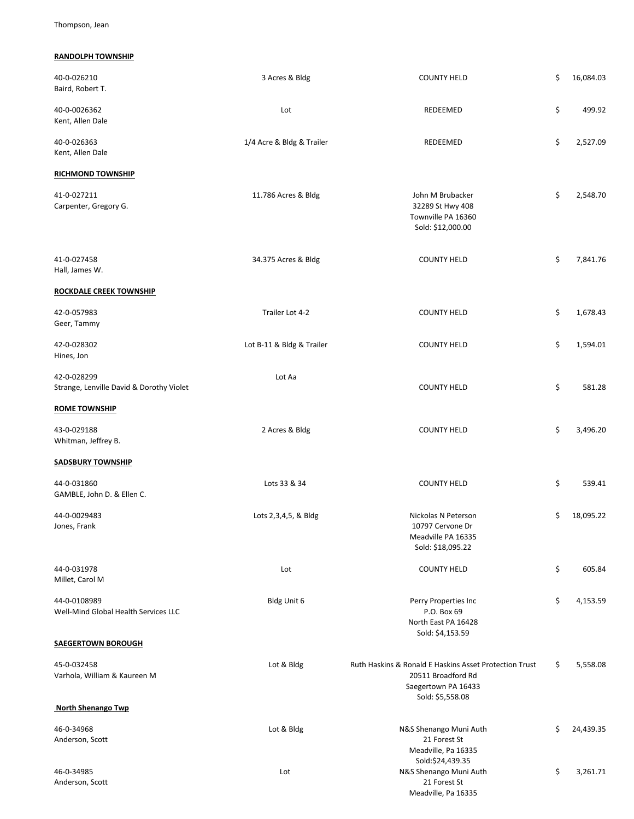Thompson, Jean

# **RANDOLPH TOWNSHIP**

| 40-0-026210<br>Baird, Robert T.                         | 3 Acres & Bldg            | <b>COUNTY HELD</b>                                                                                                      | \$<br>16,084.03 |
|---------------------------------------------------------|---------------------------|-------------------------------------------------------------------------------------------------------------------------|-----------------|
| 40-0-0026362<br>Kent, Allen Dale                        | Lot                       | REDEEMED                                                                                                                | \$<br>499.92    |
| 40-0-026363<br>Kent, Allen Dale                         | 1/4 Acre & Bldg & Trailer | REDEEMED                                                                                                                | \$<br>2,527.09  |
| <b>RICHMOND TOWNSHIP</b>                                |                           |                                                                                                                         |                 |
| 41-0-027211<br>Carpenter, Gregory G.                    | 11.786 Acres & Bldg       | John M Brubacker<br>32289 St Hwy 408<br>Townville PA 16360<br>Sold: \$12,000.00                                         | \$<br>2,548.70  |
| 41-0-027458<br>Hall, James W.                           | 34.375 Acres & Bldg       | <b>COUNTY HELD</b>                                                                                                      | \$<br>7,841.76  |
| <b>ROCKDALE CREEK TOWNSHIP</b>                          |                           |                                                                                                                         |                 |
| 42-0-057983<br>Geer, Tammy                              | Trailer Lot 4-2           | <b>COUNTY HELD</b>                                                                                                      | \$<br>1,678.43  |
| 42-0-028302<br>Hines, Jon                               | Lot B-11 & Bldg & Trailer | <b>COUNTY HELD</b>                                                                                                      | \$<br>1,594.01  |
| 42-0-028299<br>Strange, Lenville David & Dorothy Violet | Lot Aa                    | <b>COUNTY HELD</b>                                                                                                      | \$<br>581.28    |
| <b>ROME TOWNSHIP</b>                                    |                           |                                                                                                                         |                 |
| 43-0-029188<br>Whitman, Jeffrey B.                      | 2 Acres & Bldg            | <b>COUNTY HELD</b>                                                                                                      | \$<br>3,496.20  |
| <b>SADSBURY TOWNSHIP</b>                                |                           |                                                                                                                         |                 |
| 44-0-031860<br>GAMBLE, John D. & Ellen C.               | Lots 33 & 34              | <b>COUNTY HELD</b>                                                                                                      | \$<br>539.41    |
| 44-0-0029483<br>Jones, Frank                            | Lots 2, 3, 4, 5, & Bldg   | Nickolas N Peterson<br>10797 Cervone Dr<br>Meadville PA 16335<br>Sold: \$18,095.22                                      | \$<br>18,095.22 |
| 44-0-031978<br>Millet, Carol M                          | Lot                       | <b>COUNTY HELD</b>                                                                                                      | \$<br>605.84    |
| 44-0-0108989<br>Well-Mind Global Health Services LLC    | Bldg Unit 6               | Perry Properties Inc<br>P.O. Box 69<br>North East PA 16428<br>Sold: \$4,153.59                                          | \$<br>4,153.59  |
| <b>SAEGERTOWN BOROUGH</b>                               |                           |                                                                                                                         |                 |
| 45-0-032458<br>Varhola, William & Kaureen M             | Lot & Bldg                | Ruth Haskins & Ronald E Haskins Asset Protection Trust<br>20511 Broadford Rd<br>Saegertown PA 16433<br>Sold: \$5,558.08 | \$<br>5,558.08  |
| <b>North Shenango Twp</b>                               |                           |                                                                                                                         |                 |
| 46-0-34968<br>Anderson, Scott                           | Lot & Bldg                | N&S Shenango Muni Auth<br>21 Forest St<br>Meadville, Pa 16335<br>Sold:\$24,439.35                                       | \$<br>24,439.35 |
| 46-0-34985<br>Anderson, Scott                           | Lot                       | N&S Shenango Muni Auth<br>21 Forest St<br>Meadville, Pa 16335                                                           | \$<br>3,261.71  |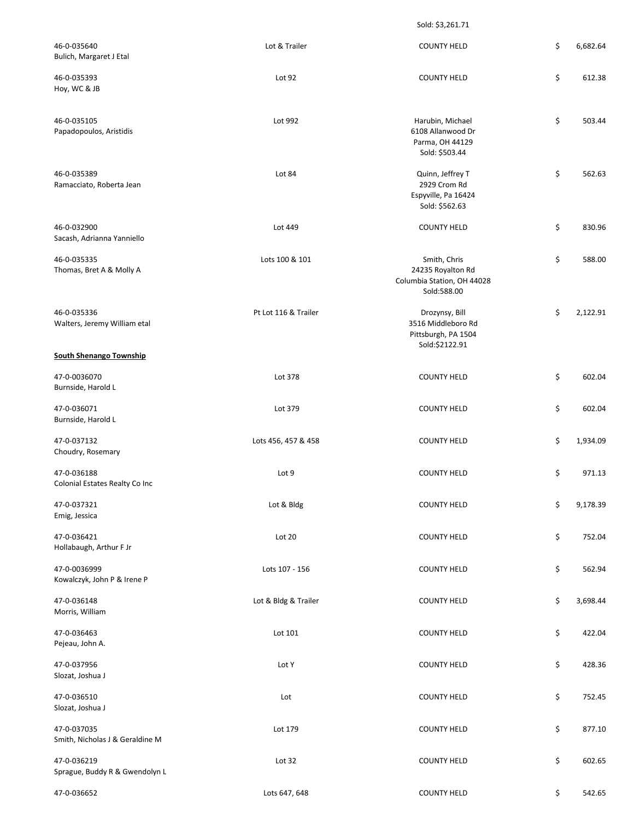Sold: \$3,261.71

| 46-0-035640<br>Bulich, Margaret J Etal         | Lot & Trailer        | <b>COUNTY HELD</b>                                                             | \$<br>6,682.64 |
|------------------------------------------------|----------------------|--------------------------------------------------------------------------------|----------------|
| 46-0-035393<br>Hoy, WC & JB                    | Lot 92               | <b>COUNTY HELD</b>                                                             | \$<br>612.38   |
| 46-0-035105<br>Papadopoulos, Aristidis         | Lot 992              | Harubin, Michael<br>6108 Allanwood Dr<br>Parma, OH 44129<br>Sold: \$503.44     | \$<br>503.44   |
| 46-0-035389<br>Ramacciato, Roberta Jean        | Lot 84               | Quinn, Jeffrey T<br>2929 Crom Rd<br>Espyville, Pa 16424<br>Sold: \$562.63      | \$<br>562.63   |
| 46-0-032900<br>Sacash, Adrianna Yanniello      | Lot 449              | <b>COUNTY HELD</b>                                                             | \$<br>830.96   |
| 46-0-035335<br>Thomas, Bret A & Molly A        | Lots 100 & 101       | Smith, Chris<br>24235 Royalton Rd<br>Columbia Station, OH 44028<br>Sold:588.00 | \$<br>588.00   |
| 46-0-035336<br>Walters, Jeremy William etal    | Pt Lot 116 & Trailer | Drozynsy, Bill<br>3516 Middleboro Rd<br>Pittsburgh, PA 1504<br>Sold:\$2122.91  | \$<br>2,122.91 |
| <b>South Shenango Township</b>                 |                      |                                                                                |                |
| 47-0-0036070<br>Burnside, Harold L             | Lot 378              | <b>COUNTY HELD</b>                                                             | \$<br>602.04   |
| 47-0-036071<br>Burnside, Harold L              | Lot 379              | <b>COUNTY HELD</b>                                                             | \$<br>602.04   |
| 47-0-037132<br>Choudry, Rosemary               | Lots 456, 457 & 458  | <b>COUNTY HELD</b>                                                             | \$<br>1,934.09 |
| 47-0-036188<br>Colonial Estates Realty Co Inc  | Lot 9                | <b>COUNTY HELD</b>                                                             | \$<br>971.13   |
| 47-0-037321<br>Emig, Jessica                   | Lot & Bldg           | <b>COUNTY HELD</b>                                                             | \$<br>9,178.39 |
| 47-0-036421<br>Hollabaugh, Arthur F Jr         | Lot 20               | <b>COUNTY HELD</b>                                                             | \$<br>752.04   |
| 47-0-0036999<br>Kowalczyk, John P & Irene P    | Lots 107 - 156       | <b>COUNTY HELD</b>                                                             | \$<br>562.94   |
| 47-0-036148<br>Morris, William                 | Lot & Bldg & Trailer | <b>COUNTY HELD</b>                                                             | \$<br>3,698.44 |
| 47-0-036463<br>Pejeau, John A.                 | Lot 101              | <b>COUNTY HELD</b>                                                             | \$<br>422.04   |
| 47-0-037956<br>Slozat, Joshua J                | Lot Y                | <b>COUNTY HELD</b>                                                             | \$<br>428.36   |
| 47-0-036510<br>Slozat, Joshua J                | Lot                  | <b>COUNTY HELD</b>                                                             | \$<br>752.45   |
| 47-0-037035<br>Smith, Nicholas J & Geraldine M | Lot 179              | <b>COUNTY HELD</b>                                                             | \$<br>877.10   |
| 47-0-036219<br>Sprague, Buddy R & Gwendolyn L  | Lot 32               | <b>COUNTY HELD</b>                                                             | \$<br>602.65   |
| 47-0-036652                                    | Lots 647, 648        | <b>COUNTY HELD</b>                                                             | \$<br>542.65   |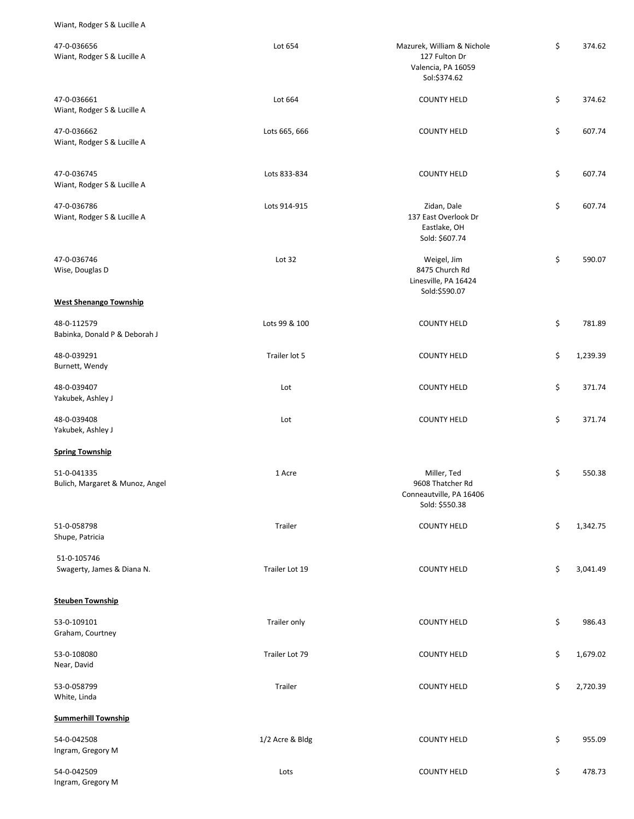Wiant, Rodger S & Lucille A

| 47-0-036656<br>Wiant, Rodger S & Lucille A     | Lot 654         | Mazurek, William & Nichole<br>127 Fulton Dr<br>Valencia, PA 16059<br>Sol:\$374.62 | \$<br>374.62   |
|------------------------------------------------|-----------------|-----------------------------------------------------------------------------------|----------------|
| 47-0-036661<br>Wiant, Rodger S & Lucille A     | Lot 664         | <b>COUNTY HELD</b>                                                                | \$<br>374.62   |
| 47-0-036662<br>Wiant, Rodger S & Lucille A     | Lots 665, 666   | <b>COUNTY HELD</b>                                                                | \$<br>607.74   |
| 47-0-036745<br>Wiant, Rodger S & Lucille A     | Lots 833-834    | <b>COUNTY HELD</b>                                                                | \$<br>607.74   |
| 47-0-036786<br>Wiant, Rodger S & Lucille A     | Lots 914-915    | Zidan, Dale<br>137 East Overlook Dr<br>Eastlake, OH<br>Sold: \$607.74             | \$<br>607.74   |
| 47-0-036746<br>Wise, Douglas D                 | Lot 32          | Weigel, Jim<br>8475 Church Rd<br>Linesville, PA 16424<br>Sold:\$590.07            | \$<br>590.07   |
| <b>West Shenango Township</b>                  |                 |                                                                                   |                |
| 48-0-112579<br>Babinka, Donald P & Deborah J   | Lots 99 & 100   | <b>COUNTY HELD</b>                                                                | \$<br>781.89   |
| 48-0-039291<br>Burnett, Wendy                  | Trailer lot 5   | <b>COUNTY HELD</b>                                                                | \$<br>1,239.39 |
| 48-0-039407<br>Yakubek, Ashley J               | Lot             | <b>COUNTY HELD</b>                                                                | \$<br>371.74   |
| 48-0-039408<br>Yakubek, Ashley J               | Lot             | <b>COUNTY HELD</b>                                                                | \$<br>371.74   |
| <b>Spring Township</b>                         |                 |                                                                                   |                |
| 51-0-041335<br>Bulich, Margaret & Munoz, Angel | 1 Acre          | Miller, Ted<br>9608 Thatcher Rd<br>Conneautville, PA 16406<br>Sold: \$550.38      | \$<br>550.38   |
| 51-0-058798<br>Shupe, Patricia                 | Trailer         | <b>COUNTY HELD</b>                                                                | \$<br>1,342.75 |
| 51-0-105746<br>Swagerty, James & Diana N.      | Trailer Lot 19  | <b>COUNTY HELD</b>                                                                | \$<br>3,041.49 |
| <b>Steuben Township</b>                        |                 |                                                                                   |                |
| 53-0-109101<br>Graham, Courtney                | Trailer only    | <b>COUNTY HELD</b>                                                                | \$<br>986.43   |
| 53-0-108080<br>Near, David                     | Trailer Lot 79  | <b>COUNTY HELD</b>                                                                | \$<br>1,679.02 |
| 53-0-058799<br>White, Linda                    | Trailer         | <b>COUNTY HELD</b>                                                                | \$<br>2,720.39 |
| <b>Summerhill Township</b>                     |                 |                                                                                   |                |
| 54-0-042508<br>Ingram, Gregory M               | 1/2 Acre & Bldg | <b>COUNTY HELD</b>                                                                | \$<br>955.09   |
| 54-0-042509<br>Ingram, Gregory M               | Lots            | <b>COUNTY HELD</b>                                                                | \$<br>478.73   |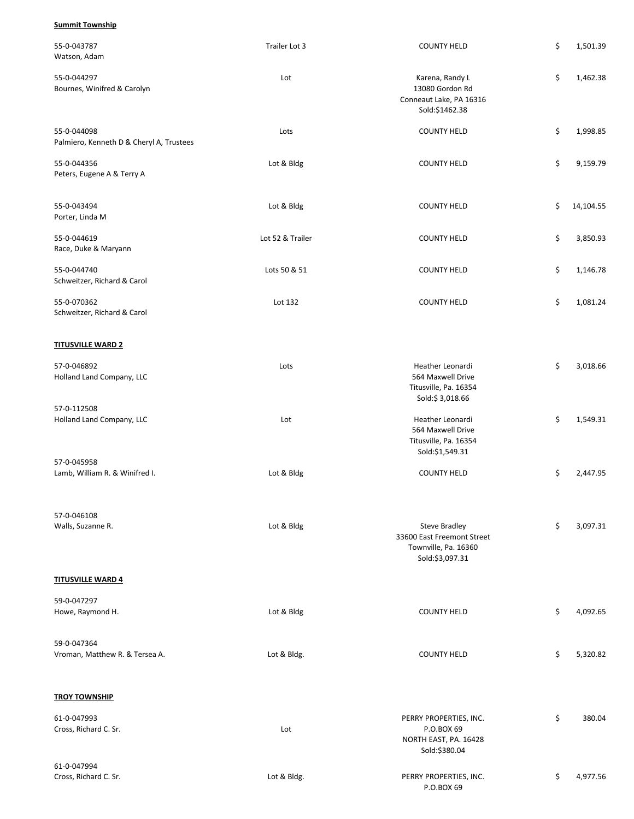### **Summit Township**

| 55-0-043787<br>Watson, Adam                             | Trailer Lot 3    | <b>COUNTY HELD</b>                                                                            | \$<br>1,501.39  |
|---------------------------------------------------------|------------------|-----------------------------------------------------------------------------------------------|-----------------|
| 55-0-044297<br>Bournes, Winifred & Carolyn              | Lot              | Karena, Randy L<br>13080 Gordon Rd<br>Conneaut Lake, PA 16316<br>Sold:\$1462.38               | \$<br>1,462.38  |
| 55-0-044098<br>Palmiero, Kenneth D & Cheryl A, Trustees | Lots             | <b>COUNTY HELD</b>                                                                            | \$<br>1,998.85  |
| 55-0-044356<br>Peters, Eugene A & Terry A               | Lot & Bldg       | <b>COUNTY HELD</b>                                                                            | \$<br>9,159.79  |
| 55-0-043494<br>Porter, Linda M                          | Lot & Bldg       | <b>COUNTY HELD</b>                                                                            | \$<br>14,104.55 |
| 55-0-044619<br>Race, Duke & Maryann                     | Lot 52 & Trailer | <b>COUNTY HELD</b>                                                                            | \$<br>3,850.93  |
| 55-0-044740<br>Schweitzer, Richard & Carol              | Lots 50 & 51     | <b>COUNTY HELD</b>                                                                            | \$<br>1,146.78  |
| 55-0-070362<br>Schweitzer, Richard & Carol              | Lot 132          | <b>COUNTY HELD</b>                                                                            | \$<br>1,081.24  |
| <b>TITUSVILLE WARD 2</b>                                |                  |                                                                                               |                 |
| 57-0-046892<br>Holland Land Company, LLC                | Lots             | Heather Leonardi<br>564 Maxwell Drive<br>Titusville, Pa. 16354<br>Sold:\$3,018.66             | \$<br>3,018.66  |
| 57-0-112508<br>Holland Land Company, LLC                | Lot              | Heather Leonardi<br>564 Maxwell Drive<br>Titusville, Pa. 16354<br>Sold:\$1,549.31             | \$<br>1,549.31  |
| 57-0-045958<br>Lamb, William R. & Winifred I.           | Lot & Bldg       | <b>COUNTY HELD</b>                                                                            | \$<br>2,447.95  |
| 57-0-046108<br>Walls, Suzanne R.                        | Lot & Bldg       | <b>Steve Bradley</b><br>33600 East Freemont Street<br>Townville, Pa. 16360<br>Sold:\$3,097.31 | \$<br>3,097.31  |
| <b>TITUSVILLE WARD 4</b>                                |                  |                                                                                               |                 |
| 59-0-047297<br>Howe, Raymond H.                         | Lot & Bldg       | <b>COUNTY HELD</b>                                                                            | \$<br>4,092.65  |
| 59-0-047364<br>Vroman, Matthew R. & Tersea A.           | Lot & Bldg.      | <b>COUNTY HELD</b>                                                                            | \$<br>5,320.82  |
| <b>TROY TOWNSHIP</b>                                    |                  |                                                                                               |                 |
| 61-0-047993<br>Cross, Richard C. Sr.                    | Lot              | PERRY PROPERTIES, INC.<br>P.O.BOX 69<br>NORTH EAST, PA. 16428<br>Sold:\$380.04                | \$<br>380.04    |
| 61-0-047994<br>Cross, Richard C. Sr.                    | Lot & Bldg.      | PERRY PROPERTIES, INC.<br>P.O.BOX 69                                                          | \$<br>4,977.56  |